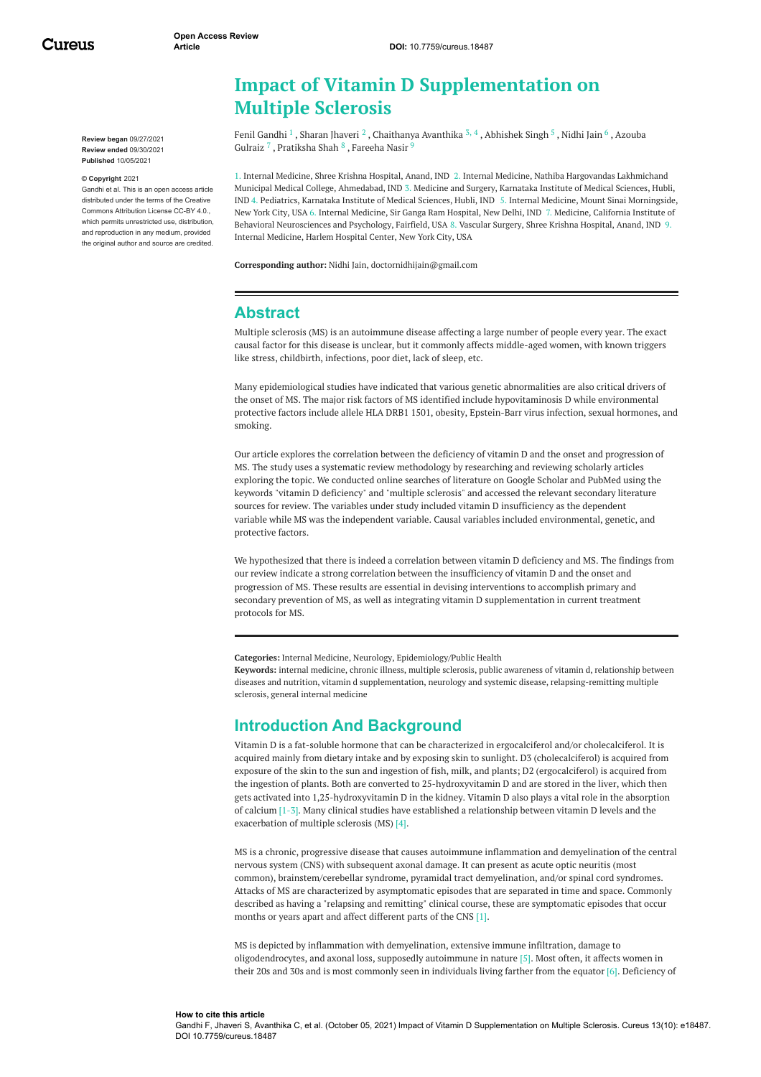Cureus

**Review began** 09/27/2021 **Review ended** 09/30/2021 **Published** 10/05/2021

#### **© Copyright** 2021

Gandhi et al. This is an open access article distributed under the terms of the Creative Commons Attribution License CC-BY 4.0., which permits unrestricted use, distribution, and reproduction in any medium, provided the original author and source are credited.

| <b>Impact of Vitamin D Supplementation on</b> |
|-----------------------------------------------|
| <b>Multiple Sclerosis</b>                     |

Fenil [Gandhi](https://www.cureus.com/users/183482-fenil-gandhi)  $^1$ , Sharan [Jhaveri](https://www.cureus.com/users/256301-sharan-jhaveri)  $^2$ , [Chaithanya](https://www.cureus.com/users/256319-chaithanya-avanthika) Avanthika  $^{3,\,4}$ , [Abhishek](https://www.cureus.com/users/262118-abhishek-singh) Singh  $^5$  , [Nidhi](https://www.cureus.com/users/265284-nidhi-jain) Jain  $^6$  , Azouba Gulraiz <sup>7</sup> , [Pratiksha](https://www.cureus.com/users/184132-pratiksha-shah) Shah  $^8$  , [Fareeha](https://www.cureus.com/users/276193-fareeha-nasir) Nasir <sup>9</sup>

1. Internal Medicine, Shree Krishna Hospital, Anand, IND 2. Internal Medicine, Nathiba Hargovandas Lakhmichand Municipal Medical College, Ahmedabad, IND 3. Medicine and Surgery, Karnataka Institute of Medical Sciences, Hubli, IND 4. Pediatrics, Karnataka Institute of Medical Sciences, Hubli, IND 5. Internal Medicine, Mount Sinai Morningside, New York City, USA 6. Internal Medicine, Sir Ganga Ram Hospital, New Delhi, IND 7. Medicine, California Institute of Behavioral Neurosciences and Psychology, Fairfield, USA 8. Vascular Surgery, Shree Krishna Hospital, Anand, IND 9. Internal Medicine, Harlem Hospital Center, New York City, USA

**Corresponding author:** Nidhi Jain, doctornidhijain@gmail.com

# **Abstract**

Multiple sclerosis (MS) is an autoimmune disease affecting a large number of people every year. The exact causal factor for this disease is unclear, but it commonly affects middle-aged women, with known triggers like stress, childbirth, infections, poor diet, lack of sleep, etc.

Many epidemiological studies have indicated that various genetic abnormalities are also critical drivers of the onset of MS. The major risk factors of MS identified include hypovitaminosis D while environmental protective factors include allele HLA DRB1 1501, obesity, Epstein-Barr virus infection, sexual hormones, and smoking.

Our article explores the correlation between the deficiency of vitamin D and the onset and progression of MS. The study uses a systematic review methodology by researching and reviewing scholarly articles exploring the topic. We conducted online searches of literature on Google Scholar and PubMed using the keywords "vitamin D deficiency" and "multiple sclerosis" and accessed the relevant secondary literature sources for review. The variables under study included vitamin D insufficiency as the dependent variable while MS was the independent variable. Causal variables included environmental, genetic, and protective factors.

We hypothesized that there is indeed a correlation between vitamin D deficiency and MS. The findings from our review indicate a strong correlation between the insufficiency of vitamin D and the onset and progression of MS. These results are essential in devising interventions to accomplish primary and secondary prevention of MS, as well as integrating vitamin D supplementation in current treatment protocols for MS.

**Categories:** Internal Medicine, Neurology, Epidemiology/Public Health

**Keywords:** internal medicine, chronic illness, multiple sclerosis, public awareness of vitamin d, relationship between diseases and nutrition, vitamin d supplementation, neurology and systemic disease, relapsing-remitting multiple sclerosis, general internal medicine

# **Introduction And Background**

Vitamin D is a fat-soluble hormone that can be characterized in ergocalciferol and/or cholecalciferol. It is acquired mainly from dietary intake and by exposing skin to sunlight. D3 (cholecalciferol) is acquired from exposure of the skin to the sun and ingestion of fish, milk, and plants; D2 (ergocalciferol) is acquired from the ingestion of plants. Both are converted to 25-hydroxyvitamin D and are stored in the liver, which then gets activated into 1,25-hydroxyvitamin D in the kidney. Vitamin D also plays a vital role in the absorption of calcium [1-3]. Many clinical studies have established a relationship between vitamin D levels and the exacerbation of multiple sclerosis (MS) [4].

MS is a chronic, progressive disease that causes autoimmune inflammation and demyelination of the central nervous system (CNS) with subsequent axonal damage. It can present as acute optic neuritis (most common), brainstem/cerebellar syndrome, pyramidal tract demyelination, and/or spinal cord syndromes. Attacks of MS are characterized by asymptomatic episodes that are separated in time and space. Commonly described as having a "relapsing and remitting" clinical course, these are symptomatic episodes that occur months or years apart and affect different parts of the CNS [1].

MS is depicted by inflammation with demyelination, extensive immune infiltration, damage to oligodendrocytes, and axonal loss, supposedly autoimmune in nature [5]. Most often, it affects women in their 20s and 30s and is most commonly seen in individuals living farther from the equator [6]. Deficiency of

#### **How to cite this article** Gandhi F, Jhaveri S, Avanthika C, et al. (October 05, 2021) Impact of Vitamin D Supplementation on Multiple Sclerosis. Cureus 13(10): e18487. DOI 10.7759/cureus.18487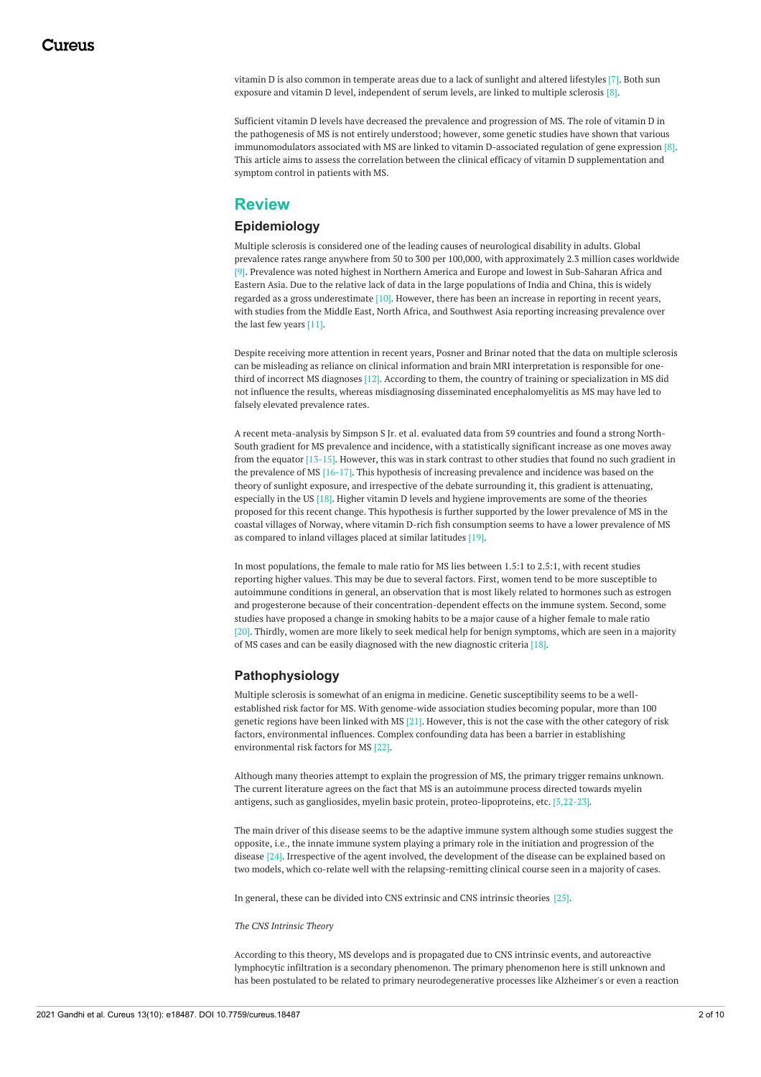vitamin D is also common in temperate areas due to a lack of sunlight and altered lifestyles [7]. Both sun exposure and vitamin D level, independent of serum levels, are linked to multiple sclerosis [8].

Sufficient vitamin D levels have decreased the prevalence and progression of MS. The role of vitamin D in the pathogenesis of MS is not entirely understood; however, some genetic studies have shown that various immunomodulators associated with MS are linked to vitamin D-associated regulation of gene expression [8]. This article aims to assess the correlation between the clinical efficacy of vitamin D supplementation and symptom control in patients with MS.

# **Review**

#### **Epidemiology**

Multiple sclerosis is considered one of the leading causes of neurological disability in adults. Global prevalence rates range anywhere from 50 to 300 per 100,000, with approximately 2.3 million cases worldwide [9]. Prevalence was noted highest in Northern America and Europe and lowest in Sub-Saharan Africa and Eastern Asia. Due to the relative lack of data in the large populations of India and China, this is widely regarded as a gross underestimate [10]. However, there has been an increase in reporting in recent years, with studies from the Middle East, North Africa, and Southwest Asia reporting increasing prevalence over the last few years [11].

Despite receiving more attention in recent years, Posner and Brinar noted that the data on multiple sclerosis can be misleading as reliance on clinical information and brain MRI interpretation is responsible for onethird of incorrect MS diagnoses [12]. According to them, the country of training or specialization in MS did not influence the results, whereas misdiagnosing disseminated encephalomyelitis as MS may have led to falsely elevated prevalence rates.

A recent meta-analysis by Simpson S Jr. et al. evaluated data from 59 countries and found a strong North-South gradient for MS prevalence and incidence, with a statistically significant increase as one moves away from the equator [13-15]. However, this was in stark contrast to other studies that found no such gradient in the prevalence of MS [16-17]. This hypothesis of increasing prevalence and incidence was based on the theory of sunlight exposure, and irrespective of the debate surrounding it, this gradient is attenuating, especially in the US [18]. Higher vitamin D levels and hygiene improvements are some of the theories proposed for this recent change. This hypothesis is further supported by the lower prevalence of MS in the coastal villages of Norway, where vitamin D-rich fish consumption seems to have a lower prevalence of MS as compared to inland villages placed at similar latitudes [19].

In most populations, the female to male ratio for MS lies between 1.5:1 to 2.5:1, with recent studies reporting higher values. This may be due to several factors. First, women tend to be more susceptible to autoimmune conditions in general, an observation that is most likely related to hormones such as estrogen and progesterone because of their concentration-dependent effects on the immune system. Second, some studies have proposed a change in smoking habits to be a major cause of a higher female to male ratio [20]. Thirdly, women are more likely to seek medical help for benign symptoms, which are seen in a majority of MS cases and can be easily diagnosed with the new diagnostic criteria [18].

#### **Pathophysiology**

Multiple sclerosis is somewhat of an enigma in medicine. Genetic susceptibility seems to be a wellestablished risk factor for MS. With genome-wide association studies becoming popular, more than 100 genetic regions have been linked with MS [21]. However, this is not the case with the other category of risk factors, environmental influences. Complex confounding data has been a barrier in establishing environmental risk factors for MS [22].

Although many theories attempt to explain the progression of MS, the primary trigger remains unknown. The current literature agrees on the fact that MS is an autoimmune process directed towards myelin antigens, such as gangliosides, myelin basic protein, proteo-lipoproteins, etc. [5,22-23].

The main driver of this disease seems to be the adaptive immune system although some studies suggest the opposite, i.e., the innate immune system playing a primary role in the initiation and progression of the disease [24]. Irrespective of the agent involved, the development of the disease can be explained based on two models, which co-relate well with the relapsing-remitting clinical course seen in a majority of cases.

In general, these can be divided into CNS extrinsic and CNS intrinsic theories [25].

*The CNS Intrinsic Theory*

According to this theory, MS develops and is propagated due to CNS intrinsic events, and autoreactive lymphocytic infiltration is a secondary phenomenon. The primary phenomenon here is still unknown and has been postulated to be related to primary neurodegenerative processes like Alzheimer's or even a reaction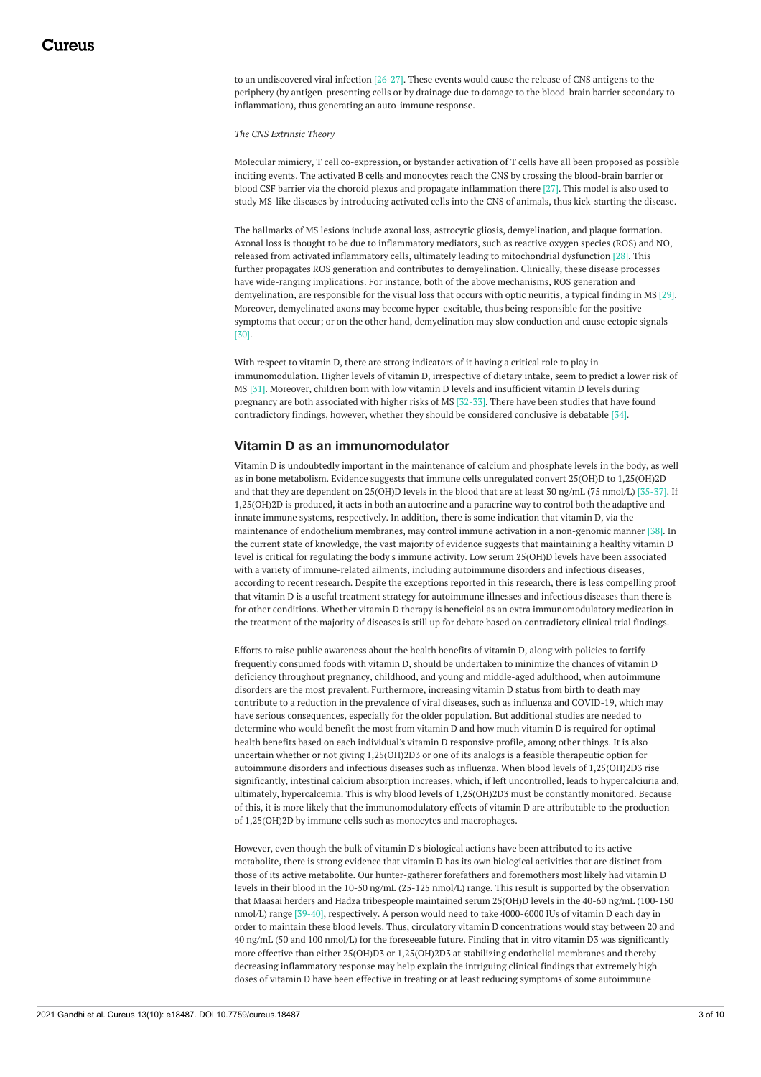to an undiscovered viral infection [26-27]. These events would cause the release of CNS antigens to the periphery (by antigen-presenting cells or by drainage due to damage to the blood-brain barrier secondary to inflammation), thus generating an auto-immune response.

*The CNS Extrinsic Theory*

Molecular mimicry, T cell co-expression, or bystander activation of T cells have all been proposed as possible inciting events. The activated B cells and monocytes reach the CNS by crossing the blood-brain barrier or blood CSF barrier via the choroid plexus and propagate inflammation there [27]. This model is also used to study MS-like diseases by introducing activated cells into the CNS of animals, thus kick-starting the disease.

The hallmarks of MS lesions include axonal loss, astrocytic gliosis, demyelination, and plaque formation. Axonal loss is thought to be due to inflammatory mediators, such as reactive oxygen species (ROS) and NO, released from activated inflammatory cells, ultimately leading to mitochondrial dysfunction [28]. This further propagates ROS generation and contributes to demyelination. Clinically, these disease processes have wide-ranging implications. For instance, both of the above mechanisms, ROS generation and demyelination, are responsible for the visual loss that occurs with optic neuritis, a typical finding in MS [29]. Moreover, demyelinated axons may become hyper-excitable, thus being responsible for the positive symptoms that occur; or on the other hand, demyelination may slow conduction and cause ectopic signals [30].

With respect to vitamin D, there are strong indicators of it having a critical role to play in immunomodulation. Higher levels of vitamin D, irrespective of dietary intake, seem to predict a lower risk of MS [31]. Moreover, children born with low vitamin D levels and insufficient vitamin D levels during pregnancy are both associated with higher risks of MS [32-33]. There have been studies that have found contradictory findings, however, whether they should be considered conclusive is debatable [34].

### **Vitamin D as an immunomodulator**

Vitamin D is undoubtedly important in the maintenance of calcium and phosphate levels in the body, as well as in bone metabolism. Evidence suggests that immune cells unregulated convert 25(OH)D to 1,25(OH)2D and that they are dependent on 25(OH)D levels in the blood that are at least 30 ng/mL (75 nmol/L) [35-37]. If 1,25(OH)2D is produced, it acts in both an autocrine and a paracrine way to control both the adaptive and innate immune systems, respectively. In addition, there is some indication that vitamin D, via the maintenance of endothelium membranes, may control immune activation in a non-genomic manner [38]. In the current state of knowledge, the vast majority of evidence suggests that maintaining a healthy vitamin D level is critical for regulating the body's immune activity. Low serum 25(OH)D levels have been associated with a variety of immune-related ailments, including autoimmune disorders and infectious diseases, according to recent research. Despite the exceptions reported in this research, there is less compelling proof that vitamin D is a useful treatment strategy for autoimmune illnesses and infectious diseases than there is for other conditions. Whether vitamin D therapy is beneficial as an extra immunomodulatory medication in the treatment of the majority of diseases is still up for debate based on contradictory clinical trial findings.

Efforts to raise public awareness about the health benefits of vitamin D, along with policies to fortify frequently consumed foods with vitamin D, should be undertaken to minimize the chances of vitamin D deficiency throughout pregnancy, childhood, and young and middle-aged adulthood, when autoimmune disorders are the most prevalent. Furthermore, increasing vitamin D status from birth to death may contribute to a reduction in the prevalence of viral diseases, such as influenza and COVID-19, which may have serious consequences, especially for the older population. But additional studies are needed to determine who would benefit the most from vitamin D and how much vitamin D is required for optimal health benefits based on each individual's vitamin D responsive profile, among other things. It is also uncertain whether or not giving 1,25(OH)2D3 or one of its analogs is a feasible therapeutic option for autoimmune disorders and infectious diseases such as influenza. When blood levels of 1,25(OH)2D3 rise significantly, intestinal calcium absorption increases, which, if left uncontrolled, leads to hypercalciuria and, ultimately, hypercalcemia. This is why blood levels of 1,25(OH)2D3 must be constantly monitored. Because of this, it is more likely that the immunomodulatory effects of vitamin D are attributable to the production of 1,25(OH)2D by immune cells such as monocytes and macrophages.

However, even though the bulk of vitamin D's biological actions have been attributed to its active metabolite, there is strong evidence that vitamin D has its own biological activities that are distinct from those of its active metabolite. Our hunter-gatherer forefathers and foremothers most likely had vitamin D levels in their blood in the 10-50 ng/mL (25-125 nmol/L) range. This result is supported by the observation that Maasai herders and Hadza tribespeople maintained serum 25(OH)D levels in the 40-60 ng/mL (100-150 nmol/L) range [39-40], respectively. A person would need to take 4000-6000 IUs of vitamin D each day in order to maintain these blood levels. Thus, circulatory vitamin D concentrations would stay between 20 and 40 ng/mL (50 and 100 nmol/L) for the foreseeable future. Finding that in vitro vitamin D3 was significantly more effective than either 25(OH)D3 or 1,25(OH)2D3 at stabilizing endothelial membranes and thereby decreasing inflammatory response may help explain the intriguing clinical findings that extremely high doses of vitamin D have been effective in treating or at least reducing symptoms of some autoimmune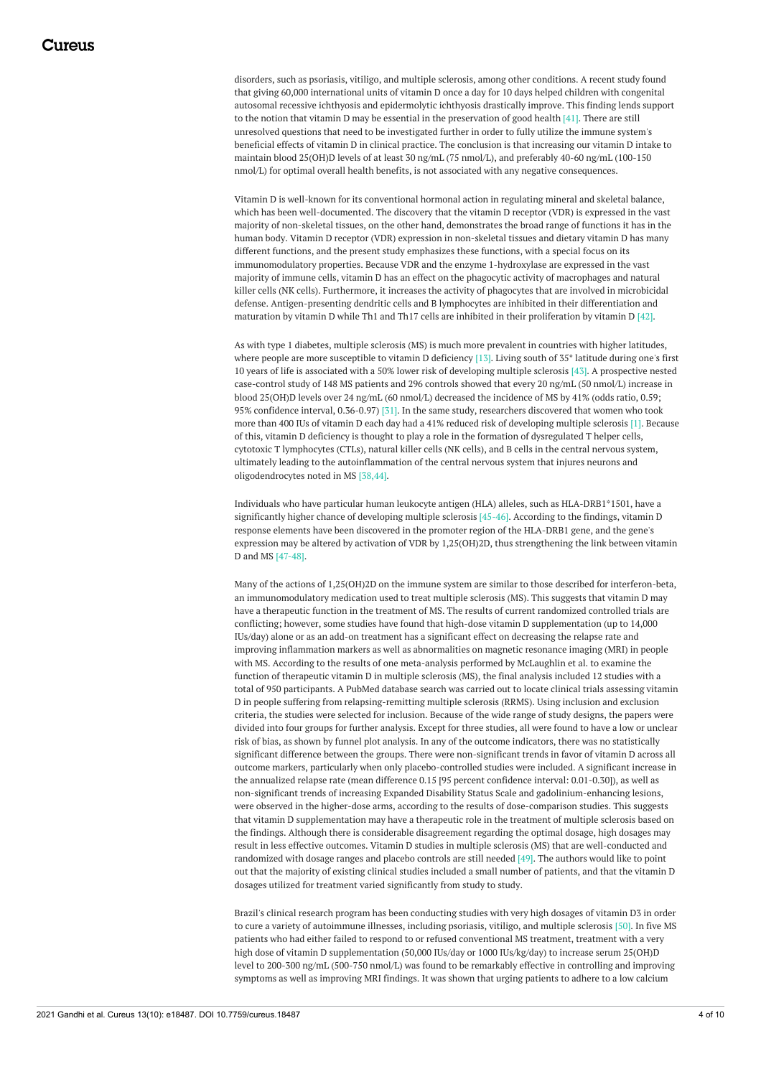disorders, such as psoriasis, vitiligo, and multiple sclerosis, among other conditions. A recent study found that giving 60,000 international units of vitamin D once a day for 10 days helped children with congenital autosomal recessive ichthyosis and epidermolytic ichthyosis drastically improve. This finding lends support to the notion that vitamin D may be essential in the preservation of good health [41]. There are still unresolved questions that need to be investigated further in order to fully utilize the immune system's beneficial effects of vitamin D in clinical practice. The conclusion is that increasing our vitamin D intake to maintain blood 25(OH)D levels of at least 30 ng/mL (75 nmol/L), and preferably 40-60 ng/mL (100-150 nmol/L) for optimal overall health benefits, is not associated with any negative consequences.

Vitamin D is well-known for its conventional hormonal action in regulating mineral and skeletal balance, which has been well-documented. The discovery that the vitamin D receptor (VDR) is expressed in the vast majority of non-skeletal tissues, on the other hand, demonstrates the broad range of functions it has in the human body. Vitamin D receptor (VDR) expression in non-skeletal tissues and dietary vitamin D has many different functions, and the present study emphasizes these functions, with a special focus on its immunomodulatory properties. Because VDR and the enzyme 1-hydroxylase are expressed in the vast majority of immune cells, vitamin D has an effect on the phagocytic activity of macrophages and natural killer cells (NK cells). Furthermore, it increases the activity of phagocytes that are involved in microbicidal defense. Antigen-presenting dendritic cells and B lymphocytes are inhibited in their differentiation and maturation by vitamin D while Th1 and Th17 cells are inhibited in their proliferation by vitamin D [42].

As with type 1 diabetes, multiple sclerosis (MS) is much more prevalent in countries with higher latitudes, where people are more susceptible to vitamin D deficiency [13]. Living south of 35° latitude during one's first 10 years of life is associated with a 50% lower risk of developing multiple sclerosis [43]. A prospective nested case-control study of 148 MS patients and 296 controls showed that every 20 ng/mL (50 nmol/L) increase in blood 25(OH)D levels over 24 ng/mL (60 nmol/L) decreased the incidence of MS by 41% (odds ratio, 0.59; 95% confidence interval, 0.36-0.97) [31]. In the same study, researchers discovered that women who took more than 400 IUs of vitamin D each day had a 41% reduced risk of developing multiple sclerosis [1]. Because of this, vitamin D deficiency is thought to play a role in the formation of dysregulated T helper cells, cytotoxic T lymphocytes (CTLs), natural killer cells (NK cells), and B cells in the central nervous system, ultimately leading to the autoinflammation of the central nervous system that injures neurons and oligodendrocytes noted in MS [38,44].

Individuals who have particular human leukocyte antigen (HLA) alleles, such as HLA-DRB1\*1501, have a significantly higher chance of developing multiple sclerosis [45-46]. According to the findings, vitamin D response elements have been discovered in the promoter region of the HLA-DRB1 gene, and the gene's expression may be altered by activation of VDR by 1,25(OH)2D, thus strengthening the link between vitamin D and MS [47-48].

Many of the actions of 1,25(OH)2D on the immune system are similar to those described for interferon-beta, an immunomodulatory medication used to treat multiple sclerosis (MS). This suggests that vitamin D may have a therapeutic function in the treatment of MS. The results of current randomized controlled trials are conflicting; however, some studies have found that high-dose vitamin D supplementation (up to 14,000 IUs/day) alone or as an add-on treatment has a significant effect on decreasing the relapse rate and improving inflammation markers as well as abnormalities on magnetic resonance imaging (MRI) in people with MS. According to the results of one meta-analysis performed by McLaughlin et al. to examine the function of therapeutic vitamin D in multiple sclerosis (MS), the final analysis included 12 studies with a total of 950 participants. A PubMed database search was carried out to locate clinical trials assessing vitamin D in people suffering from relapsing-remitting multiple sclerosis (RRMS). Using inclusion and exclusion criteria, the studies were selected for inclusion. Because of the wide range of study designs, the papers were divided into four groups for further analysis. Except for three studies, all were found to have a low or unclear risk of bias, as shown by funnel plot analysis. In any of the outcome indicators, there was no statistically significant difference between the groups. There were non-significant trends in favor of vitamin D across all outcome markers, particularly when only placebo-controlled studies were included. A significant increase in the annualized relapse rate (mean difference 0.15 [95 percent confidence interval: 0.01-0.30]), as well as non-significant trends of increasing Expanded Disability Status Scale and gadolinium-enhancing lesions, were observed in the higher-dose arms, according to the results of dose-comparison studies. This suggests that vitamin D supplementation may have a therapeutic role in the treatment of multiple sclerosis based on the findings. Although there is considerable disagreement regarding the optimal dosage, high dosages may result in less effective outcomes. Vitamin D studies in multiple sclerosis (MS) that are well-conducted and randomized with dosage ranges and placebo controls are still needed [49]. The authors would like to point out that the majority of existing clinical studies included a small number of patients, and that the vitamin D dosages utilized for treatment varied significantly from study to study.

Brazil's clinical research program has been conducting studies with very high dosages of vitamin D3 in order to cure a variety of autoimmune illnesses, including psoriasis, vitiligo, and multiple sclerosis [50]. In five MS patients who had either failed to respond to or refused conventional MS treatment, treatment with a very high dose of vitamin D supplementation (50,000 IUs/day or 1000 IUs/kg/day) to increase serum 25(OH)D level to 200-300 ng/mL (500-750 nmol/L) was found to be remarkably effective in controlling and improving symptoms as well as improving MRI findings. It was shown that urging patients to adhere to a low calcium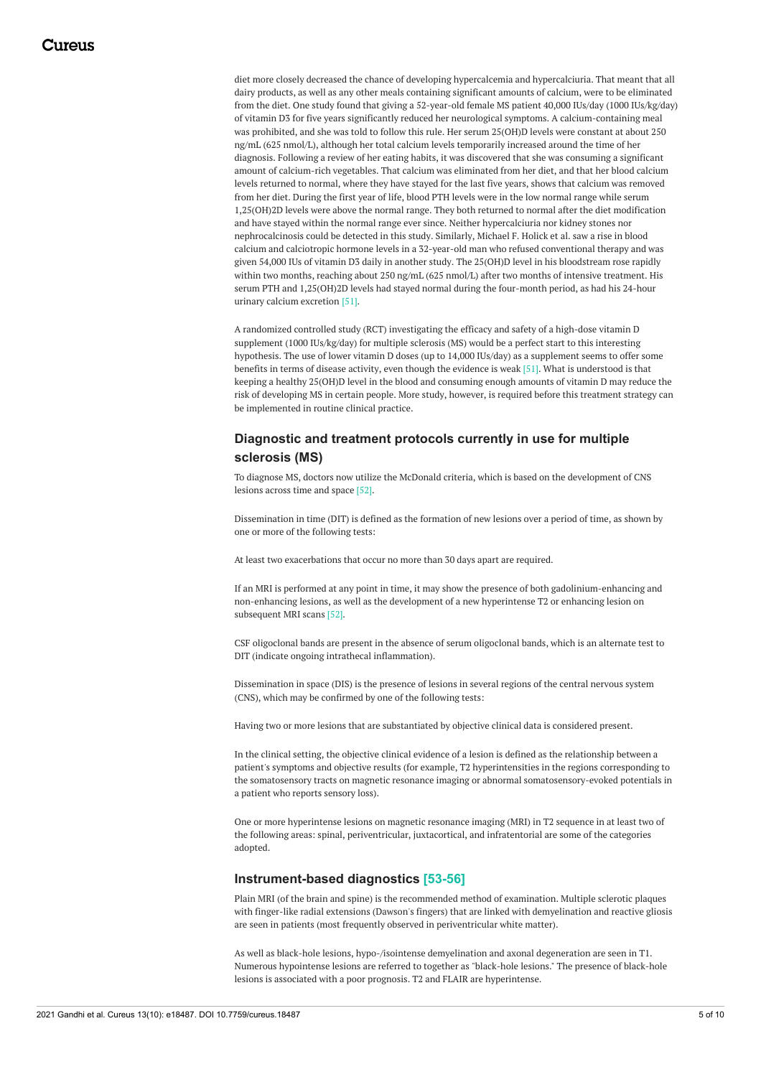diet more closely decreased the chance of developing hypercalcemia and hypercalciuria. That meant that all dairy products, as well as any other meals containing significant amounts of calcium, were to be eliminated from the diet. One study found that giving a 52-year-old female MS patient 40,000 IUs/day (1000 IUs/kg/day) of vitamin D3 for five years significantly reduced her neurological symptoms. A calcium-containing meal was prohibited, and she was told to follow this rule. Her serum 25(OH)D levels were constant at about 250 ng/mL (625 nmol/L), although her total calcium levels temporarily increased around the time of her diagnosis. Following a review of her eating habits, it was discovered that she was consuming a significant amount of calcium-rich vegetables. That calcium was eliminated from her diet, and that her blood calcium levels returned to normal, where they have stayed for the last five years, shows that calcium was removed from her diet. During the first year of life, blood PTH levels were in the low normal range while serum 1,25(OH)2D levels were above the normal range. They both returned to normal after the diet modification and have stayed within the normal range ever since. Neither hypercalciuria nor kidney stones nor nephrocalcinosis could be detected in this study. Similarly, Michael F. Holick et al. saw a rise in blood calcium and calciotropic hormone levels in a 32-year-old man who refused conventional therapy and was given 54,000 IUs of vitamin D3 daily in another study. The 25(OH)D level in his bloodstream rose rapidly within two months, reaching about 250 ng/mL (625 nmol/L) after two months of intensive treatment. His serum PTH and 1,25(OH)2D levels had stayed normal during the four-month period, as had his 24-hour urinary calcium excretion [51].

A randomized controlled study (RCT) investigating the efficacy and safety of a high-dose vitamin D supplement (1000 IUs/kg/day) for multiple sclerosis (MS) would be a perfect start to this interesting hypothesis. The use of lower vitamin D doses (up to 14,000 IUs/day) as a supplement seems to offer some benefits in terms of disease activity, even though the evidence is weak [51]. What is understood is that keeping a healthy 25(OH)D level in the blood and consuming enough amounts of vitamin D may reduce the risk of developing MS in certain people. More study, however, is required before this treatment strategy can be implemented in routine clinical practice.

### **Diagnostic and treatment protocols currently in use for multiple sclerosis (MS)**

To diagnose MS, doctors now utilize the McDonald criteria, which is based on the development of CNS lesions across time and space [52].

Dissemination in time (DIT) is defined as the formation of new lesions over a period of time, as shown by one or more of the following tests:

At least two exacerbations that occur no more than 30 days apart are required.

If an MRI is performed at any point in time, it may show the presence of both gadolinium-enhancing and non-enhancing lesions, as well as the development of a new hyperintense T2 or enhancing lesion on subsequent MRI scans [52].

CSF oligoclonal bands are present in the absence of serum oligoclonal bands, which is an alternate test to DIT (indicate ongoing intrathecal inflammation).

Dissemination in space (DIS) is the presence of lesions in several regions of the central nervous system (CNS), which may be confirmed by one of the following tests:

Having two or more lesions that are substantiated by objective clinical data is considered present.

In the clinical setting, the objective clinical evidence of a lesion is defined as the relationship between a patient's symptoms and objective results (for example, T2 hyperintensities in the regions corresponding to the somatosensory tracts on magnetic resonance imaging or abnormal somatosensory-evoked potentials in a patient who reports sensory loss).

One or more hyperintense lesions on magnetic resonance imaging (MRI) in T2 sequence in at least two of the following areas: spinal, periventricular, juxtacortical, and infratentorial are some of the categories adopted.

#### **Instrument-based diagnostics [53-56]**

Plain MRI (of the brain and spine) is the recommended method of examination. Multiple sclerotic plaques with finger-like radial extensions (Dawson's fingers) that are linked with demyelination and reactive gliosis are seen in patients (most frequently observed in periventricular white matter).

As well as black-hole lesions, hypo-/isointense demyelination and axonal degeneration are seen in T1. Numerous hypointense lesions are referred to together as "black-hole lesions." The presence of black-hole lesions is associated with a poor prognosis. T2 and FLAIR are hyperintense.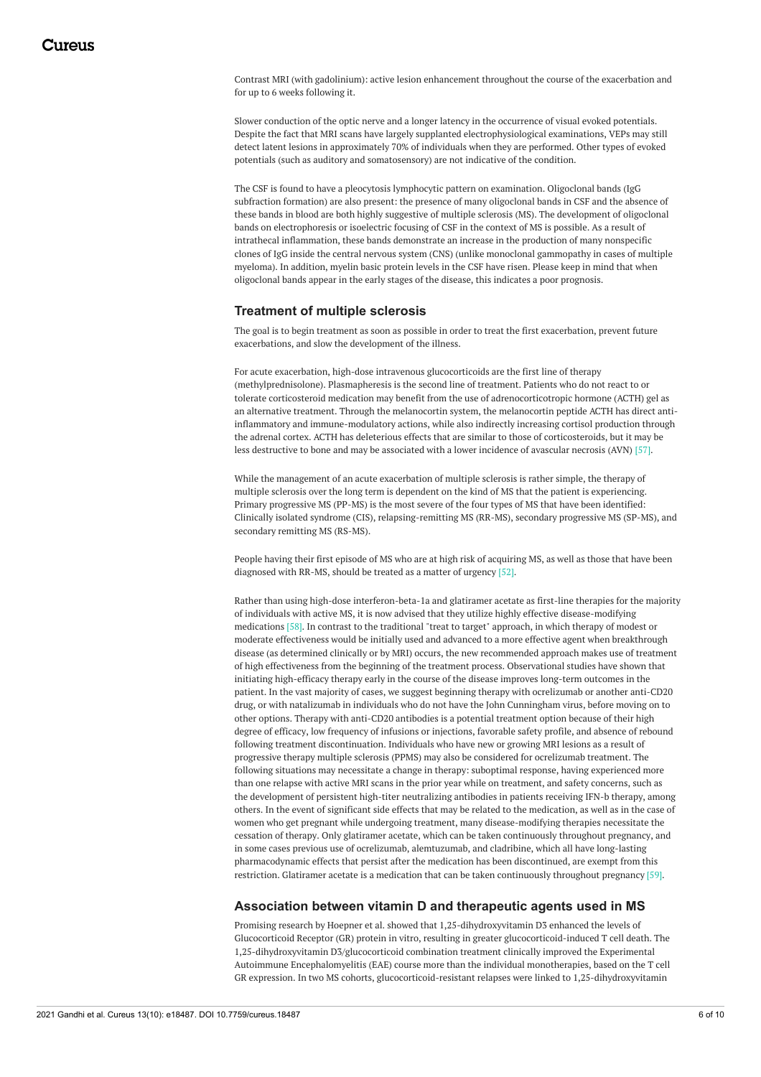Contrast MRI (with gadolinium): active lesion enhancement throughout the course of the exacerbation and for up to 6 weeks following it.

Slower conduction of the optic nerve and a longer latency in the occurrence of visual evoked potentials. Despite the fact that MRI scans have largely supplanted electrophysiological examinations, VEPs may still detect latent lesions in approximately 70% of individuals when they are performed. Other types of evoked potentials (such as auditory and somatosensory) are not indicative of the condition.

The CSF is found to have a pleocytosis lymphocytic pattern on examination. Oligoclonal bands (IgG subfraction formation) are also present: the presence of many oligoclonal bands in CSF and the absence of these bands in blood are both highly suggestive of multiple sclerosis (MS). The development of oligoclonal bands on electrophoresis or isoelectric focusing of CSF in the context of MS is possible. As a result of intrathecal inflammation, these bands demonstrate an increase in the production of many nonspecific clones of IgG inside the central nervous system (CNS) (unlike monoclonal gammopathy in cases of multiple myeloma). In addition, myelin basic protein levels in the CSF have risen. Please keep in mind that when oligoclonal bands appear in the early stages of the disease, this indicates a poor prognosis.

### **Treatment of multiple sclerosis**

The goal is to begin treatment as soon as possible in order to treat the first exacerbation, prevent future exacerbations, and slow the development of the illness.

For acute exacerbation, high-dose intravenous glucocorticoids are the first line of therapy (methylprednisolone). Plasmapheresis is the second line of treatment. Patients who do not react to or tolerate corticosteroid medication may benefit from the use of adrenocorticotropic hormone (ACTH) gel as an alternative treatment. Through the melanocortin system, the melanocortin peptide ACTH has direct antiinflammatory and immune-modulatory actions, while also indirectly increasing cortisol production through the adrenal cortex. ACTH has deleterious effects that are similar to those of corticosteroids, but it may be less destructive to bone and may be associated with a lower incidence of avascular necrosis (AVN) [57].

While the management of an acute exacerbation of multiple sclerosis is rather simple, the therapy of multiple sclerosis over the long term is dependent on the kind of MS that the patient is experiencing. Primary progressive MS (PP-MS) is the most severe of the four types of MS that have been identified: Clinically isolated syndrome (CIS), relapsing-remitting MS (RR-MS), secondary progressive MS (SP-MS), and secondary remitting MS (RS-MS).

People having their first episode of MS who are at high risk of acquiring MS, as well as those that have been diagnosed with RR-MS, should be treated as a matter of urgency [52].

Rather than using high-dose interferon-beta-1a and glatiramer acetate as first-line therapies for the majority of individuals with active MS, it is now advised that they utilize highly effective disease-modifying medications [58]. In contrast to the traditional "treat to target" approach, in which therapy of modest or moderate effectiveness would be initially used and advanced to a more effective agent when breakthrough disease (as determined clinically or by MRI) occurs, the new recommended approach makes use of treatment of high effectiveness from the beginning of the treatment process. Observational studies have shown that initiating high-efficacy therapy early in the course of the disease improves long-term outcomes in the patient. In the vast majority of cases, we suggest beginning therapy with ocrelizumab or another anti-CD20 drug, or with natalizumab in individuals who do not have the John Cunningham virus, before moving on to other options. Therapy with anti-CD20 antibodies is a potential treatment option because of their high degree of efficacy, low frequency of infusions or injections, favorable safety profile, and absence of rebound following treatment discontinuation. Individuals who have new or growing MRI lesions as a result of progressive therapy multiple sclerosis (PPMS) may also be considered for ocrelizumab treatment. The following situations may necessitate a change in therapy: suboptimal response, having experienced more than one relapse with active MRI scans in the prior year while on treatment, and safety concerns, such as the development of persistent high-titer neutralizing antibodies in patients receiving IFN-b therapy, among others. In the event of significant side effects that may be related to the medication, as well as in the case of women who get pregnant while undergoing treatment, many disease-modifying therapies necessitate the cessation of therapy. Only glatiramer acetate, which can be taken continuously throughout pregnancy, and in some cases previous use of ocrelizumab, alemtuzumab, and cladribine, which all have long-lasting pharmacodynamic effects that persist after the medication has been discontinued, are exempt from this restriction. Glatiramer acetate is a medication that can be taken continuously throughout pregnancy [59].

### **Association between vitamin D and therapeutic agents used in MS**

Promising research by Hoepner et al. showed that 1,25-dihydroxyvitamin D3 enhanced the levels of Glucocorticoid Receptor (GR) protein in vitro, resulting in greater glucocorticoid-induced T cell death. The 1,25-dihydroxyvitamin D3/glucocorticoid combination treatment clinically improved the Experimental Autoimmune Encephalomyelitis (EAE) course more than the individual monotherapies, based on the T cell GR expression. In two MS cohorts, glucocorticoid-resistant relapses were linked to 1,25-dihydroxyvitamin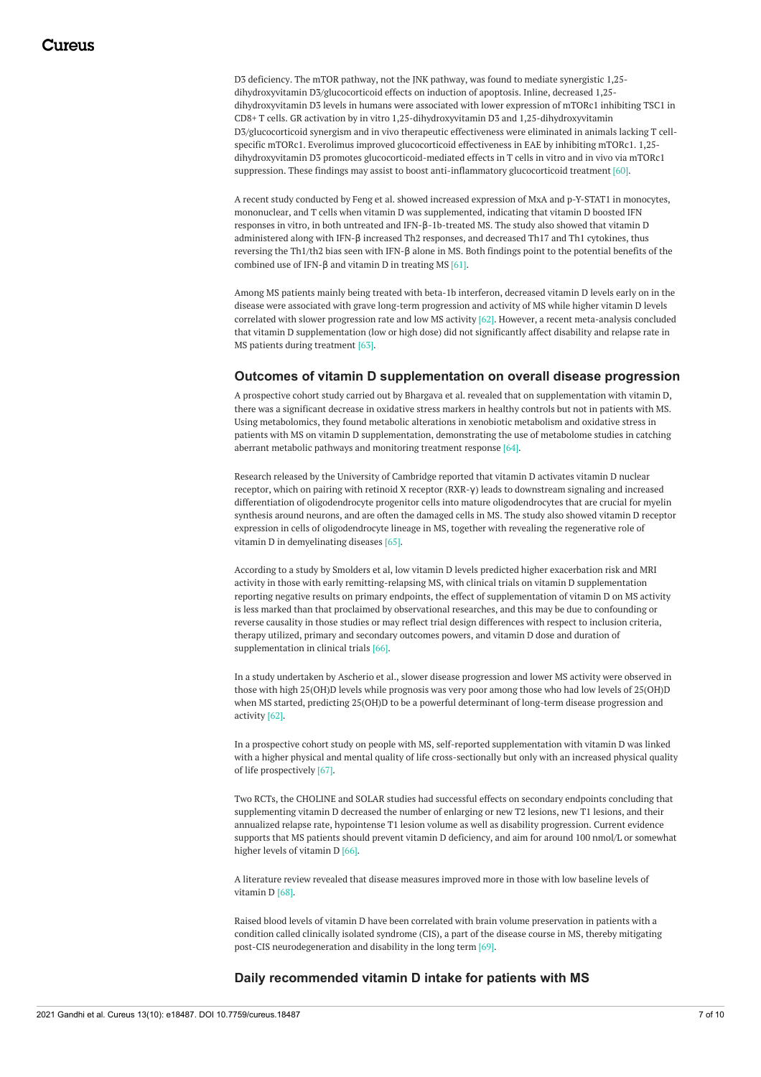D3 deficiency. The mTOR pathway, not the JNK pathway, was found to mediate synergistic 1,25 dihydroxyvitamin D3/glucocorticoid effects on induction of apoptosis. Inline, decreased 1,25 dihydroxyvitamin D3 levels in humans were associated with lower expression of mTORc1 inhibiting TSC1 in CD8+ T cells. GR activation by in vitro 1,25-dihydroxyvitamin D3 and 1,25-dihydroxyvitamin D3/glucocorticoid synergism and in vivo therapeutic effectiveness were eliminated in animals lacking T cellspecific mTORc1. Everolimus improved glucocorticoid effectiveness in EAE by inhibiting mTORc1. 1,25 dihydroxyvitamin D3 promotes glucocorticoid-mediated effects in T cells in vitro and in vivo via mTORc1 suppression. These findings may assist to boost anti-inflammatory glucocorticoid treatment [60].

A recent study conducted by Feng et al. showed increased expression of MxA and p-Y-STAT1 in monocytes, mononuclear, and T cells when vitamin D was supplemented, indicating that vitamin D boosted IFN responses in vitro, in both untreated and IFN-β-1b-treated MS. The study also showed that vitamin D administered along with IFN-β increased Th2 responses, and decreased Th17 and Th1 cytokines, thus reversing the Th1/th2 bias seen with IFN-β alone in MS. Both findings point to the potential benefits of the combined use of IFN-β and vitamin D in treating MS [61].

Among MS patients mainly being treated with beta-1b interferon, decreased vitamin D levels early on in the disease were associated with grave long-term progression and activity of MS while higher vitamin D levels correlated with slower progression rate and low MS activity [62]. However, a recent meta-analysis concluded that vitamin D supplementation (low or high dose) did not significantly affect disability and relapse rate in MS patients during treatment [63].

#### **Outcomes of vitamin D supplementation on overall disease progression**

A prospective cohort study carried out by Bhargava et al. revealed that on supplementation with vitamin D, there was a significant decrease in oxidative stress markers in healthy controls but not in patients with MS. Using metabolomics, they found metabolic alterations in xenobiotic metabolism and oxidative stress in patients with MS on vitamin D supplementation, demonstrating the use of metabolome studies in catching aberrant metabolic pathways and monitoring treatment response [64].

Research released by the University of Cambridge reported that vitamin D activates vitamin D nuclear receptor, which on pairing with retinoid X receptor (RXR-γ) leads to downstream signaling and increased differentiation of oligodendrocyte progenitor cells into mature oligodendrocytes that are crucial for myelin synthesis around neurons, and are often the damaged cells in MS. The study also showed vitamin D receptor expression in cells of oligodendrocyte lineage in MS, together with revealing the regenerative role of vitamin D in demyelinating diseases [65].

According to a study by Smolders et al, low vitamin D levels predicted higher exacerbation risk and MRI activity in those with early remitting-relapsing MS, with clinical trials on vitamin D supplementation reporting negative results on primary endpoints, the effect of supplementation of vitamin D on MS activity is less marked than that proclaimed by observational researches, and this may be due to confounding or reverse causality in those studies or may reflect trial design differences with respect to inclusion criteria, therapy utilized, primary and secondary outcomes powers, and vitamin D dose and duration of supplementation in clinical trials [66].

In a study undertaken by Ascherio et al., slower disease progression and lower MS activity were observed in those with high 25(OH)D levels while prognosis was very poor among those who had low levels of 25(OH)D when MS started, predicting 25(OH)D to be a powerful determinant of long-term disease progression and activity [62].

In a prospective cohort study on people with MS, self-reported supplementation with vitamin D was linked with a higher physical and mental quality of life cross-sectionally but only with an increased physical quality of life prospectively [67].

Two RCTs, the CHOLINE and SOLAR studies had successful effects on secondary endpoints concluding that supplementing vitamin D decreased the number of enlarging or new T2 lesions, new T1 lesions, and their annualized relapse rate, hypointense T1 lesion volume as well as disability progression. Current evidence supports that MS patients should prevent vitamin D deficiency, and aim for around 100 nmol/L or somewhat higher levels of vitamin D [66].

A literature review revealed that disease measures improved more in those with low baseline levels of vitamin D [68].

Raised blood levels of vitamin D have been correlated with brain volume preservation in patients with a condition called clinically isolated syndrome (CIS), a part of the disease course in MS, thereby mitigating post-CIS neurodegeneration and disability in the long term [69].

#### **Daily recommended vitamin D intake for patients with MS**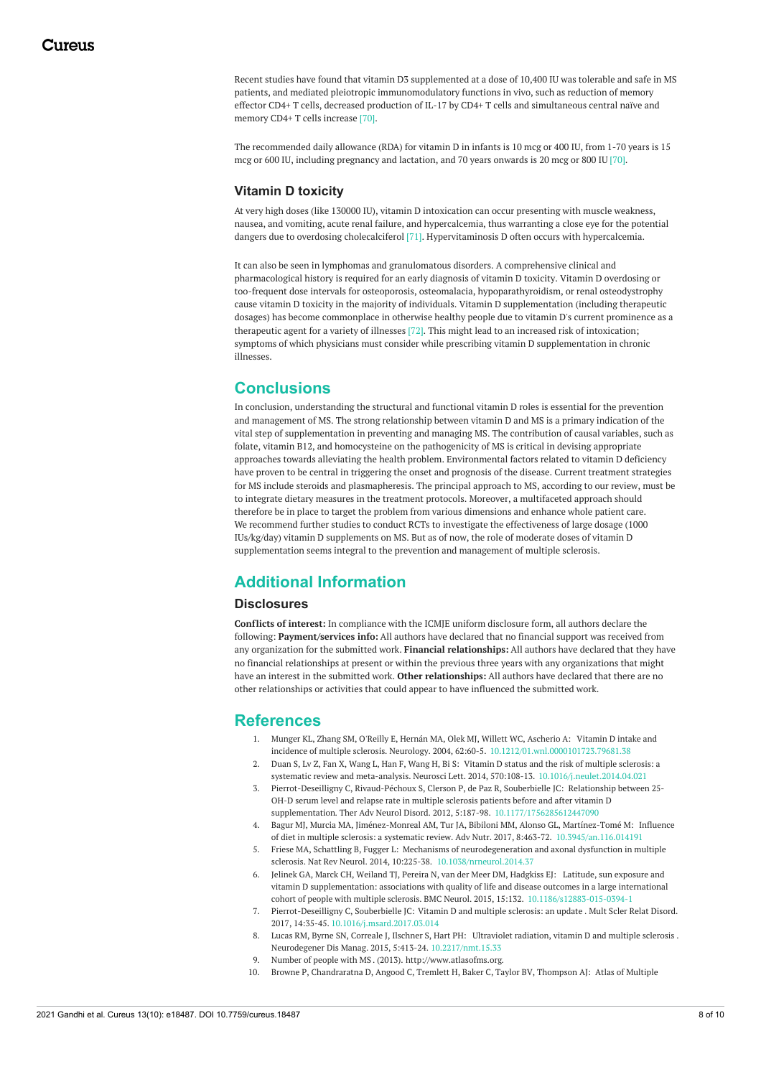Recent studies have found that vitamin D3 supplemented at a dose of 10,400 IU was tolerable and safe in MS patients, and mediated pleiotropic immunomodulatory functions in vivo, such as reduction of memory effector CD4+ T cells, decreased production of IL-17 by CD4+ T cells and simultaneous central naïve and memory CD4+ T cells increase [70].

The recommended daily allowance (RDA) for vitamin D in infants is 10 mcg or 400 IU, from 1-70 years is 15 mcg or 600 IU, including pregnancy and lactation, and 70 years onwards is 20 mcg or 800 IU [70].

#### **Vitamin D toxicity**

At very high doses (like 130000 IU), vitamin D intoxication can occur presenting with muscle weakness, nausea, and vomiting, acute renal failure, and hypercalcemia, thus warranting a close eye for the potential dangers due to overdosing cholecalciferol [71]. Hypervitaminosis D often occurs with hypercalcemia.

It can also be seen in lymphomas and granulomatous disorders. A comprehensive clinical and pharmacological history is required for an early diagnosis of vitamin D toxicity. Vitamin D overdosing or too-frequent dose intervals for osteoporosis, osteomalacia, hypoparathyroidism, or renal osteodystrophy cause vitamin D toxicity in the majority of individuals. Vitamin D supplementation (including therapeutic dosages) has become commonplace in otherwise healthy people due to vitamin D's current prominence as a therapeutic agent for a variety of illnesses [72]. This might lead to an increased risk of intoxication; symptoms of which physicians must consider while prescribing vitamin D supplementation in chronic illnesses.

# **Conclusions**

In conclusion, understanding the structural and functional vitamin D roles is essential for the prevention and management of MS. The strong relationship between vitamin D and MS is a primary indication of the vital step of supplementation in preventing and managing MS. The contribution of causal variables, such as folate, vitamin B12, and homocysteine on the pathogenicity of MS is critical in devising appropriate approaches towards alleviating the health problem. Environmental factors related to vitamin D deficiency have proven to be central in triggering the onset and prognosis of the disease. Current treatment strategies for MS include steroids and plasmapheresis. The principal approach to MS, according to our review, must be to integrate dietary measures in the treatment protocols. Moreover, a multifaceted approach should therefore be in place to target the problem from various dimensions and enhance whole patient care. We recommend further studies to conduct RCTs to investigate the effectiveness of large dosage (1000 IUs/kg/day) vitamin D supplements on MS. But as of now, the role of moderate doses of vitamin D supplementation seems integral to the prevention and management of multiple sclerosis.

# **Additional Information**

#### **Disclosures**

**Conflicts of interest:** In compliance with the ICMJE uniform disclosure form, all authors declare the following: **Payment/services info:** All authors have declared that no financial support was received from any organization for the submitted work. **Financial relationships:** All authors have declared that they have no financial relationships at present or within the previous three years with any organizations that might have an interest in the submitted work. **Other relationships:** All authors have declared that there are no other relationships or activities that could appear to have influenced the submitted work.

### **References**

- 1. Munger KL, Zhang SM, O'Reilly E, Hernán MA, Olek MJ, Willett WC, Ascherio A: Vitamin D intake and incidence of multiple sclerosis. Neurology. 2004, 62:60-5. [10.1212/01.wnl.0000101723.79681.38](https://dx.doi.org/10.1212/01.wnl.0000101723.79681.38)
- 2. Duan S, Lv Z, Fan X, Wang L, Han F, Wang H, Bi S: Vitamin D status and the risk of multiple sclerosis: a systematic review and meta-analysis. Neurosci Lett. 2014, 570:108-13. [10.1016/j.neulet.2014.04.021](https://dx.doi.org/10.1016/j.neulet.2014.04.021)
- 3. Pierrot-Deseilligny C, Rivaud-Péchoux S, Clerson P, de Paz R, Souberbielle JC: Relationship between 25- OH-D serum level and relapse rate in multiple sclerosis patients before and after vitamin D supplementation. Ther Adv Neurol Disord. 2012, 5:187-98. [10.1177/1756285612447090](https://dx.doi.org/10.1177/1756285612447090)
- 4. Bagur MJ, Murcia MA, Jiménez-Monreal AM, Tur JA, Bibiloni MM, Alonso GL, Martínez-Tomé M: Influence of diet in multiple sclerosis: a systematic review. Adv Nutr. 2017, 8:463-72. [10.3945/an.116.014191](https://dx.doi.org/10.3945/an.116.014191)
- 5. Friese MA, Schattling B, Fugger L: Mechanisms of neurodegeneration and axonal dysfunction in multiple sclerosis. Nat Rev Neurol. 2014, 10:225-38. [10.1038/nrneurol.2014.37](https://dx.doi.org/10.1038/nrneurol.2014.37)
- 6. Jelinek GA, Marck CH, Weiland TJ, Pereira N, van der Meer DM, Hadgkiss EJ: Latitude, sun exposure and vitamin D supplementation: associations with quality of life and disease outcomes in a large international cohort of people with multiple sclerosis. BMC Neurol. 2015, 15:132. [10.1186/s12883-015-0394-1](https://dx.doi.org/10.1186/s12883-015-0394-1)
- 7. Pierrot-Deseilligny C, Souberbielle JC: Vitamin D and multiple [sclerosis:](https://dx.doi.org/10.1016/j.msard.2017.03.014) an update . Mult Scler Relat Disord. 2017, 14:35-45. [10.1016/j.msard.2017.03.014](https://dx.doi.org/10.1016/j.msard.2017.03.014)
- 8. Lucas RM, Byrne SN, Correale J, Ilschner S, Hart PH: [Ultraviolet](https://dx.doi.org/10.2217/nmt.15.33) radiation, vitamin D and multiple sclerosis . Neurodegener Dis Manag. 2015, 5:413-24. [10.2217/nmt.15.33](https://dx.doi.org/10.2217/nmt.15.33)
- 9. [Number](http://www.atlasofms.org) of people with MS . (2013). <http://www.atlasofms.org>.
- 10. Browne P, [Chandraratna](https://dx.doi.org/10.1212/WNL.0000000000000768) D, Angood C, Tremlett H, Baker C, Taylor BV, Thompson AJ: Atlas of Multiple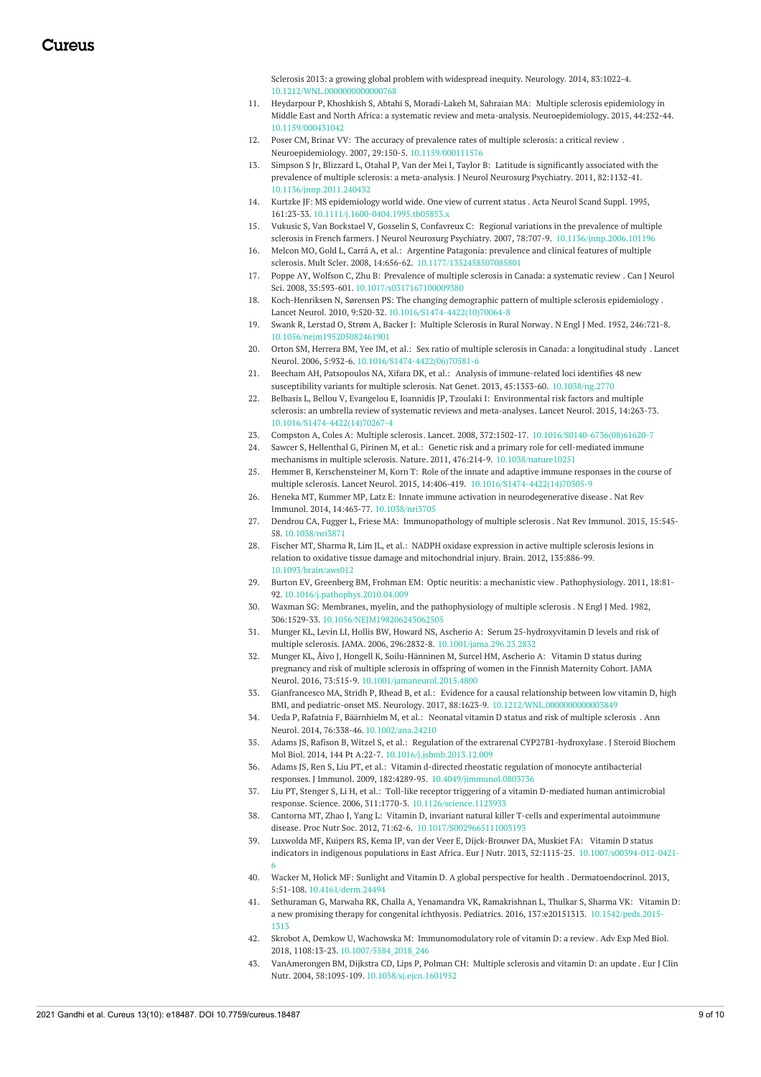Sclerosis 2013: a growing global problem with widespread inequity. Neurology. 2014, 83:1022-4. [10.1212/WNL.0000000000000768](https://dx.doi.org/10.1212/WNL.0000000000000768)

- 11. Heydarpour P, Khoshkish S, Abtahi S, Moradi-Lakeh M, Sahraian MA: Multiple sclerosis epidemiology in Middle East and North Africa: a systematic review and meta-analysis. [Neuroepidemiology.](https://dx.doi.org/10.1159/000431042) 2015, 44:232-44. [10.1159/000431042](https://dx.doi.org/10.1159/000431042)
- 12. Poser CM, Brinar VV: The accuracy of [prevalence](https://dx.doi.org/10.1159/000111576) rates of multiple sclerosis: a critical review . Neuroepidemiology. 2007, 29:150-5. [10.1159/000111576](https://dx.doi.org/10.1159/000111576)
- 13. Simpson S Jr, Blizzard L, Otahal P, Van der Mei I, Taylor B: Latitude is significantly associated with the prevalence of multiple sclerosis: a [meta-analysis.](https://dx.doi.org/10.1136/jnnp.2011.240432) J Neurol Neurosurg Psychiatry. 2011, 82:1132-41. [10.1136/jnnp.2011.240432](https://dx.doi.org/10.1136/jnnp.2011.240432)
- 14. Kurtzke JF: MS [epidemiology](https://dx.doi.org/10.1111/j.1600-0404.1995.tb05853.x) world wide. One view of current status . Acta Neurol Scand Suppl. 1995, 161:23-33. [10.1111/j.1600-0404.1995.tb05853.x](https://dx.doi.org/10.1111/j.1600-0404.1995.tb05853.x)
- 15. Vukusic S, Van Bockstael V, Gosselin S, Confavreux C: Regional variations in the prevalence of multiple sclerosis in French farmers. J Neurol Neurosurg Psychiatry. 2007, 78:707-9. [10.1136/jnnp.2006.101196](https://dx.doi.org/10.1136/jnnp.2006.101196)
- 16. Melcon MO, Gold L, Carrá A, et al.: Argentine Patagonia: prevalence and clinical features of multiple sclerosis. Mult Scler. 2008, 14:656-62. [10.1177/1352458507085801](https://dx.doi.org/10.1177/1352458507085801)
- 17. Poppe AY, Wolfson C, Zhu B: [Prevalence](https://dx.doi.org/10.1017/s0317167100009380) of multiple sclerosis in Canada: a systematic review . Can J Neurol Sci. 2008, 35:593-601. [10.1017/s0317167100009380](https://dx.doi.org/10.1017/s0317167100009380)
- 18. Koch-Henriksen N, Sørensen PS: The changing demographic pattern of multiple sclerosis [epidemiology](https://dx.doi.org/10.1016/S1474-4422(10)70064-8) . Lancet Neurol. 2010, 9:520-32. [10.1016/S1474-4422\(10\)70064-8](https://dx.doi.org/10.1016/S1474-4422(10)70064-8)
- 19. Swank R, Lerstad O, Strøm A, Backer J: Multiple [Sclerosis](https://dx.doi.org/10.1056/nejm195205082461901) in Rural Norway. N Engl J Med. 1952, 246:721-8. [10.1056/nejm195205082461901](https://dx.doi.org/10.1056/nejm195205082461901)
- 20. Orton SM, Herrera BM, Yee IM, et al.: Sex ratio of multiple sclerosis in Canada: a [longitudinal](https://dx.doi.org/10.1016/S1474-4422(06)70581-6) study . Lancet Neurol. 2006, 5:932-6. [10.1016/S1474-4422\(06\)70581-6](https://dx.doi.org/10.1016/S1474-4422(06)70581-6)
- 21. Beecham AH, Patsopoulos NA, Xifara DK, et al.: Analysis of immune-related loci identifies 48 new susceptibility variants for multiple sclerosis. Nat Genet. 2013, 45:1353-60. [10.1038/ng.2770](https://dx.doi.org/10.1038/ng.2770)
- 22. Belbasis L, Bellou V, Evangelou E, Ioannidis JP, Tzoulaki I: Environmental risk factors and multiple sclerosis: an umbrella review of systematic reviews and [meta-analyses.](https://dx.doi.org/10.1016/S1474-4422(14)70267-4) Lancet Neurol. 2015, 14:263-73. [10.1016/S1474-4422\(14\)70267-4](https://dx.doi.org/10.1016/S1474-4422(14)70267-4)
- 23. Compston A, Coles A: [Multiple](https://dx.doi.org/10.1016/S0140-6736(08)61620-7) sclerosis. Lancet. 2008, 372:1502-17. [10.1016/S0140-6736\(08\)61620-7](https://dx.doi.org/10.1016/S0140-6736(08)61620-7)
- 24. Sawcer S, Hellenthal G, Pirinen M, et al.: Genetic risk and a primary role for cell-mediated immune mechanisms in multiple sclerosis. Nature. 2011, 476:214-9. [10.1038/nature10251](https://dx.doi.org/10.1038/nature10251)
- 25. Hemmer B, Kerschensteiner M, Korn T: Role of the innate and adaptive immune responses in the course of multiple sclerosis. Lancet Neurol. 2015, 14:406-419. [10.1016/S1474-4422\(14\)70305-9](https://dx.doi.org/10.1016/S1474-4422(14)70305-9)
- 26. Heneka MT, Kummer MP, Latz E: Innate immune activation in [neurodegenerative](https://dx.doi.org/10.1038/nri3705) disease . Nat Rev Immunol. 2014, 14:463-77. [10.1038/nri3705](https://dx.doi.org/10.1038/nri3705)
- 27. Dendrou CA, Fugger L, Friese MA: [Immunopathology](https://dx.doi.org/10.1038/nri3871) of multiple sclerosis . Nat Rev Immunol. 2015, 15:545- 58. [10.1038/nri3871](https://dx.doi.org/10.1038/nri3871)
- 28. Fischer MT, Sharma R, Lim JL, et al.: NADPH oxidase expression in active multiple sclerosis lesions in relation to oxidative tissue damage and [mitochondrial](https://dx.doi.org/10.1093/brain/aws012) injury. Brain. 2012, 135:886-99. [10.1093/brain/aws012](https://dx.doi.org/10.1093/brain/aws012)
- 29. Burton EV, Greenberg BM, Frohman EM: Optic neuritis: a [mechanistic](https://dx.doi.org/10.1016/j.pathophys.2010.04.009) view . Pathophysiology. 2011, 18:81- 92. [10.1016/j.pathophys.2010.04.009](https://dx.doi.org/10.1016/j.pathophys.2010.04.009)
- 30. Waxman SG: Membranes, myelin, and the [pathophysiology](https://dx.doi.org/10.1056/NEJM198206243062505) of multiple sclerosis . N Engl J Med. 1982, 306:1529-33. [10.1056/NEJM198206243062505](https://dx.doi.org/10.1056/NEJM198206243062505)
- 31. Munger KL, Levin LI, Hollis BW, Howard NS, Ascherio A: Serum 25-hydroxyvitamin D levels and risk of multiple sclerosis. JAMA. 2006, 296:2832-8. [10.1001/jama.296.23.2832](https://dx.doi.org/10.1001/jama.296.23.2832)
- 32. Munger KL, Åivo J, Hongell K, [Soilu-Hänninen](https://dx.doi.org/10.1001/jamaneurol.2015.4800) M, Surcel HM, Ascherio A: Vitamin D status during pregnancy and risk of multiple sclerosis in offspring of women in the Finnish Maternity Cohort. JAMA Neurol. 2016, 73:515-9. [10.1001/jamaneurol.2015.4800](https://dx.doi.org/10.1001/jamaneurol.2015.4800)
- 33. Gianfrancesco MA, Stridh P, Rhead B, et al.: Evidence for a causal relationship between low vitamin D, high BMI, and pediatric-onset MS. Neurology. 2017, 88:1623-9. [10.1212/WNL.0000000000003849](https://dx.doi.org/10.1212/WNL.0000000000003849)
- 34. Ueda P, Rafatnia F, Bäärnhielm M, et al.: [Neonatal](https://dx.doi.org/10.1002/ana.24210) vitamin D status and risk of multiple sclerosis . Ann Neurol. 2014, 76:338-46. [10.1002/ana.24210](https://dx.doi.org/10.1002/ana.24210)
- 35. Adams JS, Rafison B, Witzel S, et al.: Regulation of the extrarenal [CYP27B1-hydroxylase](https://dx.doi.org/10.1016/j.jsbmb.2013.12.009). J Steroid Biochem Mol Biol. 2014, 144 Pt A:22-7. [10.1016/j.jsbmb.2013.12.009](https://dx.doi.org/10.1016/j.jsbmb.2013.12.009)
- 36. Adams JS, Ren S, Liu PT, et al.: Vitamin d-directed rheostatic regulation of monocyte antibacterial responses. J Immunol. 2009, 182:4289-95. [10.4049/jimmunol.0803736](https://dx.doi.org/10.4049/jimmunol.0803736)
- 37. Liu PT, Stenger S, Li H, et al.: Toll-like receptor triggering of a vitamin D-mediated human antimicrobial response. Science. 2006, 311:1770-3. [10.1126/science.1123933](https://dx.doi.org/10.1126/science.1123933)
- 38. Cantorna MT, Zhao J, Yang L: Vitamin D, invariant natural killer T-cells and experimental autoimmune disease. Proc Nutr Soc. 2012, 71:62-6. [10.1017/S0029665111003193](https://dx.doi.org/10.1017/S0029665111003193)
- 39. Luxwolda MF, Kuipers RS, Kema IP, van der Veer E, Dijck-Brouwer DA, Muskiet FA: Vitamin D status indicators in indigenous populations in East Africa. Eur J Nutr. 2013, 52:1115-25. [10.1007/s00394-012-0421-](https://dx.doi.org/10.1007/s00394-012-0421-6) 6
- 40. Wacker M, Holick MF: Sunlight and Vitamin D. A global [perspective](https://dx.doi.org/10.4161/derm.24494) for health . Dermatoendocrinol. 2013, 5:51-108. [10.4161/derm.24494](https://dx.doi.org/10.4161/derm.24494)
- 41. Sethuraman G, Marwaha RK, Challa A, Yenamandra VK, Ramakrishnan L, Thulkar S, Sharma VK: Vitamin D: a new promising therapy for congenital ichthyosis. Pediatrics. 2016, 137:e20151313. [10.1542/peds.2015-](https://dx.doi.org/10.1542/peds.2015-1313) 1313
- 42. Skrobot A, Demkow U, Wachowska M: [Immunomodulatory](https://dx.doi.org/10.1007/5584_2018_246) role of vitamin D: a review . Adv Exp Med Biol. 2018, 1108:13-23. [10.1007/5584\\_2018\\_246](https://dx.doi.org/10.1007/5584_2018_246)
- 43. VanAmerongen BM, Dijkstra CD, Lips P, Polman CH: Multiple [sclerosis](https://dx.doi.org/10.1038/sj.ejcn.1601952) and vitamin D: an update . Eur J Clin Nutr. 2004, 58:1095-109. [10.1038/sj.ejcn.1601952](https://dx.doi.org/10.1038/sj.ejcn.1601952)